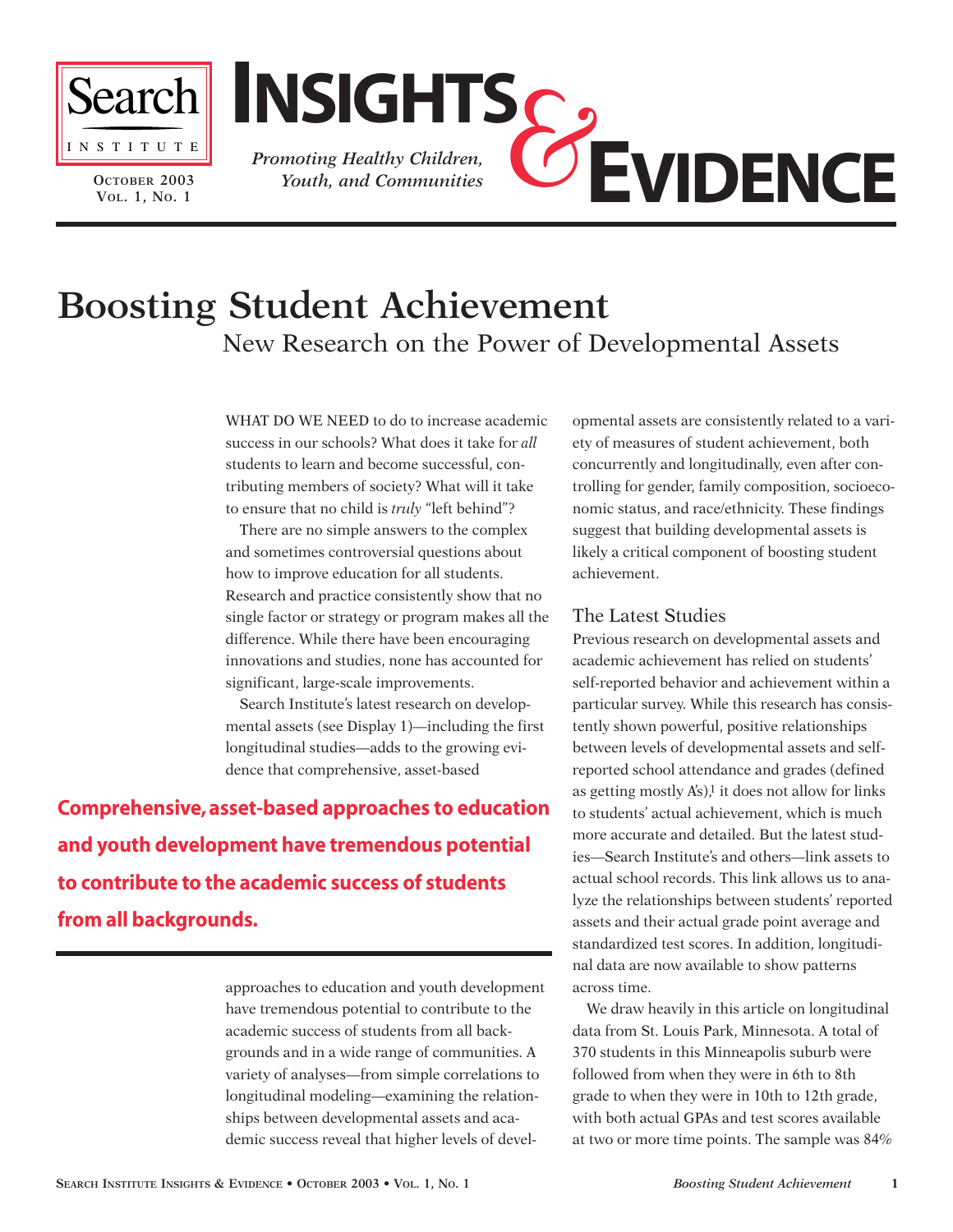

**OCTOBER 2003 VOL. 1, NO. 1**



# **Boosting Student Achievement**  New Research on the Power of Developmental Assets

WHAT DO WE NEED to do to increase academic success in our schools? What does it take for *all* students to learn and become successful, contributing members of society? What will it take to ensure that no child is *truly* "left behind"?

There are no simple answers to the complex and sometimes controversial questions about how to improve education for all students. Research and practice consistently show that no single factor or strategy or program makes all the difference. While there have been encouraging innovations and studies, none has accounted for significant, large-scale improvements.

Search Institute's latest research on developmental assets (see Display 1)—including the first longitudinal studies—adds to the growing evidence that comprehensive, asset-based

**Comprehensive, asset-based approaches to education and youth development have tremendous potential to contribute to the academic success of students from all backgrounds.**

> approaches to education and youth development have tremendous potential to contribute to the academic success of students from all backgrounds and in a wide range of communities. A variety of analyses—from simple correlations to longitudinal modeling—examining the relationships between developmental assets and academic success reveal that higher levels of devel

opmental assets are consistently related to a variety of measures of student achievement, both concurrently and longitudinally, even after controlling for gender, family composition, socioeconomic status, and race/ethnicity. These findings suggest that building developmental assets is likely a critical component of boosting student achievement.

# The Latest Studies

Previous research on developmental assets and academic achievement has relied on students' self-reported behavior and achievement within a particular survey. While this research has consistently shown powerful, positive relationships between levels of developmental assets and selfreported school attendance and grades (defined as getting mostly  $A's$ ),<sup>1</sup> it does not allow for links to students' actual achievement, which is much more accurate and detailed. But the latest studies—Search Institute's and others—link assets to actual school records. This link allows us to analyze the relationships between students' reported assets and their actual grade point average and standardized test scores. In addition, longitudinal data are now available to show patterns across time.

We draw heavily in this article on longitudinal data from St. Louis Park, Minnesota. A total of 370 students in this Minneapolis suburb were followed from when they were in 6th to 8th grade to when they were in 10th to 12th grade, with both actual GPAs and test scores available at two or more time points. The sample was 84%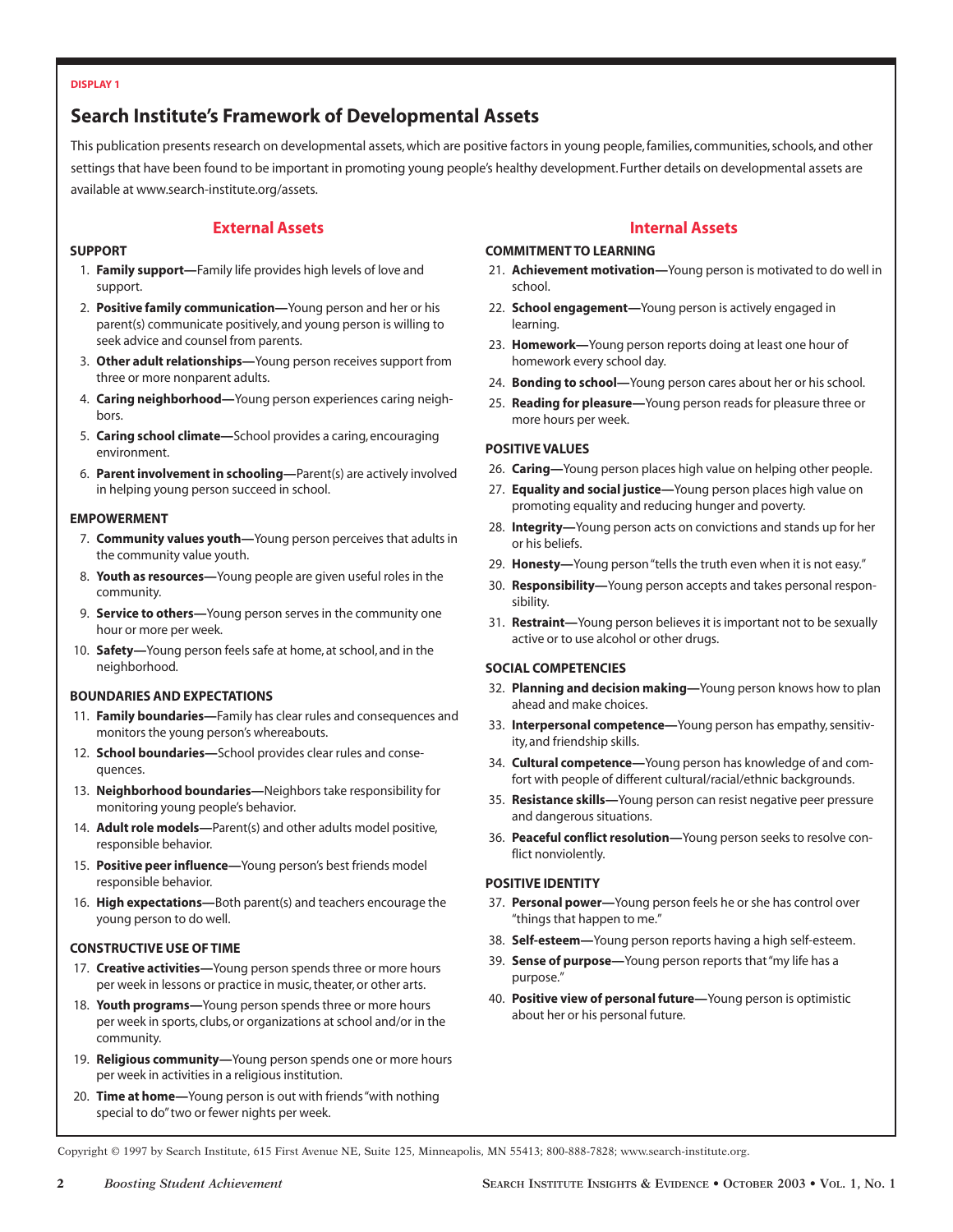#### **DISPLAY 1**

# **Search Institute's Framework of Developmental Assets**

This publication presents research on developmental assets, which are positive factors in young people, families, communities, schools, and other settings that have been found to be important in promoting young people's healthy development. Further details on developmental assets are available at www.search-institute.org/assets.

## **External Assets**

## **SUPPORT**

- 1. **Family support—**Family life provides high levels of love and support.
- 2. **Positive family communication—**Young person and her or his parent(s) communicate positively, and young person is willing to seek advice and counsel from parents.
- 3. **Other adult relationships—**Young person receives support from three or more nonparent adults.
- 4. **Caring neighborhood—**Young person experiences caring neighbors.
- 5. **Caring school climate—**School provides a caring, encouraging environment.
- 6. **Parent involvement in schooling—**Parent(s) are actively involved in helping young person succeed in school.

### **EMPOWERMENT**

- 7. **Community values youth—**Young person perceives that adults in the community value youth.
- 8. **Youth as resources—**Young people are given useful roles in the community.
- 9. **Service to others—**Young person serves in the community one hour or more per week.
- 10. **Safety—**Young person feels safe at home, at school, and in the neighborhood.

## **BOUNDARIES AND EXPECTATIONS**

- 11. **Family boundaries—**Family has clear rules and consequences and monitors the young person's whereabouts.
- 12. **School boundaries—**School provides clear rules and consequences.
- 13. **Neighborhood boundaries—**Neighbors take responsibility for monitoring young people's behavior.
- 14. **Adult role models—**Parent(s) and other adults model positive, responsible behavior.
- 15. **Positive peer influence—**Young person's best friends model responsible behavior.
- 16. **High expectations—**Both parent(s) and teachers encourage the young person to do well.

### **CONSTRUCTIVE USE OF TIME**

- 17. **Creative activities—**Young person spends three or more hours per week in lessons or practice in music, theater, or other arts.
- 18. **Youth programs—**Young person spends three or more hours per week in sports, clubs, or organizations at school and/or in the community.
- 19. **Religious community—**Young person spends one or more hours per week in activities in a religious institution.
- 20. **Time at home—**Young person is out with friends "with nothing special to do"two or fewer nights per week.

## **Internal Assets**

## **COMMITMENT TO LEARNING**

- 21. **Achievement motivation—**Young person is motivated to do well in school.
- 22. **School engagement—**Young person is actively engaged in learning.
- 23. **Homework—**Young person reports doing at least one hour of homework every school day.
- 24. **Bonding to school—**Young person cares about her or his school.
- 25. **Reading for pleasure—**Young person reads for pleasure three or more hours per week.

## **POSITIVE VALUES**

- 26. **Caring—**Young person places high value on helping other people.
- 27. **Equality and social justice—**Young person places high value on promoting equality and reducing hunger and poverty.
- 28. **Integrity—**Young person acts on convictions and stands up for her or his beliefs.
- 29. **Honesty—**Young person "tells the truth even when it is not easy."
- 30. **Responsibility—**Young person accepts and takes personal responsibility.
- 31. **Restraint—**Young person believes it is important not to be sexually active or to use alcohol or other drugs.

## **SOCIAL COMPETENCIES**

- 32. **Planning and decision making—**Young person knows how to plan ahead and make choices.
- 33. **Interpersonal competence—**Young person has empathy, sensitivity, and friendship skills.
- 34. **Cultural competence—**Young person has knowledge of and comfort with people of different cultural/racial/ethnic backgrounds.
- 35. **Resistance skills—**Young person can resist negative peer pressure and dangerous situations.
- 36. **Peaceful conflict resolution—**Young person seeks to resolve conflict nonviolently.

## **POSITIVE IDENTITY**

- 37. **Personal power—**Young person feels he or she has control over "things that happen to me."
- 38. **Self-esteem—**Young person reports having a high self-esteem.
- 39. **Sense of purpose—**Young person reports that "my life has a purpose."
- 40. **Positive view of personal future—**Young person is optimistic about her or his personal future.

Copyright © 1997 by Search Institute, 615 First Avenue NE, Suite 125, Minneapolis, MN 55413; 800-888-7828; www.search-institute.org.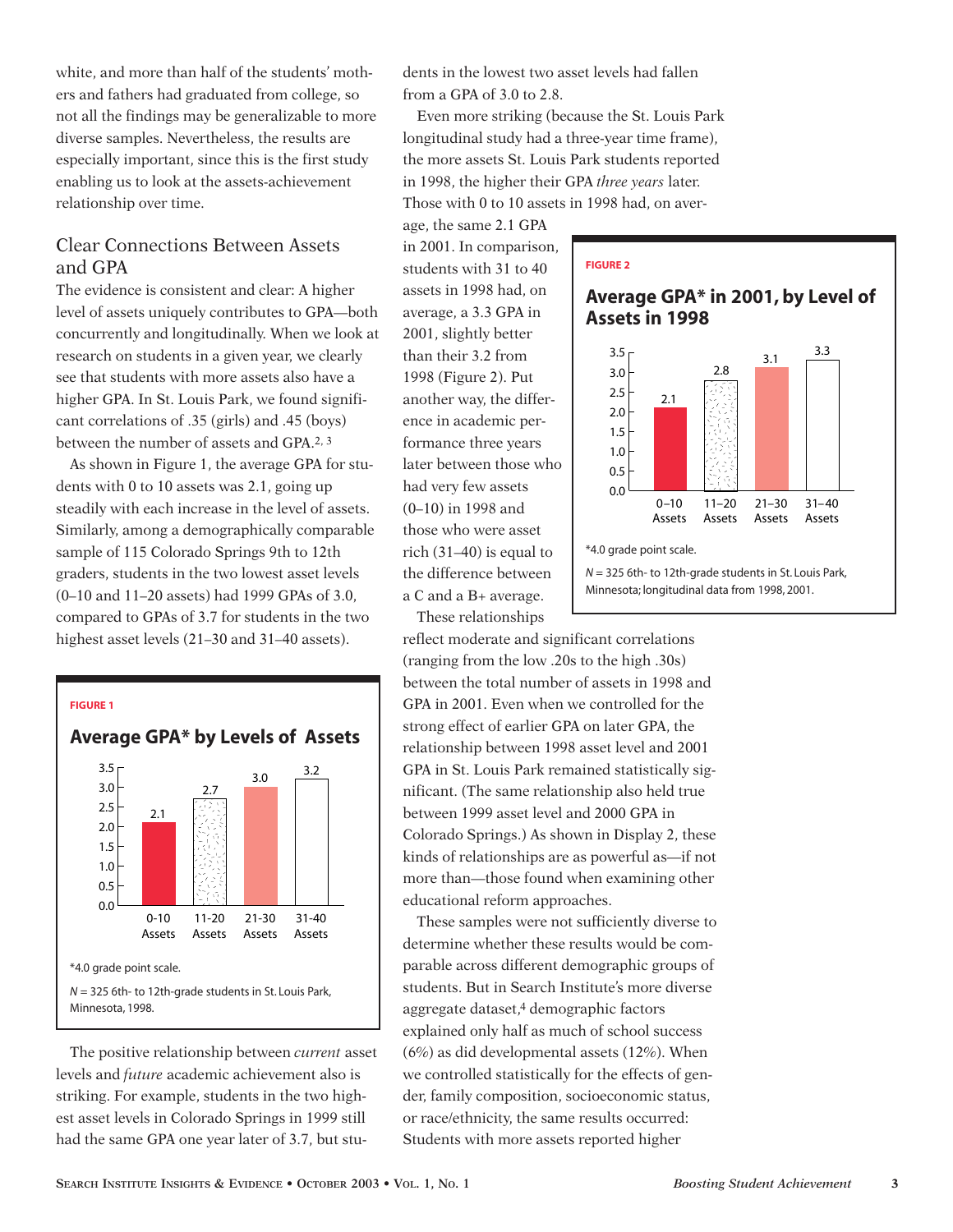white, and more than half of the students' mothers and fathers had graduated from college, so not all the findings may be generalizable to more diverse samples. Nevertheless, the results are especially important, since this is the first study enabling us to look at the assets-achievement relationship over time.

# Clear Connections Between Assets and GPA

The evidence is consistent and clear: A higher level of assets uniquely contributes to GPA—both concurrently and longitudinally. When we look at research on students in a given year, we clearly see that students with more assets also have a higher GPA. In St. Louis Park, we found significant correlations of .35 (girls) and .45 (boys) between the number of assets and GPA.2, 3

As shown in Figure 1, the average GPA for students with 0 to 10 assets was 2.1, going up steadily with each increase in the level of assets. Similarly, among a demographically comparable sample of 115 Colorado Springs 9th to 12th graders, students in the two lowest asset levels (0–10 and 11–20 assets) had 1999 GPAs of 3.0, compared to GPAs of 3.7 for students in the two highest asset levels (21–30 and 31–40 assets).



The positive relationship between *current* asset levels and *future* academic achievement also is striking. For example, students in the two highest asset levels in Colorado Springs in 1999 still had the same GPA one year later of 3.7, but students in the lowest two asset levels had fallen from a GPA of 3.0 to 2.8.

Even more striking (because the St. Louis Park longitudinal study had a three-year time frame), the more assets St. Louis Park students reported in 1998, the higher their GPA *three years* later. Those with 0 to 10 assets in 1998 had, on aver-

# in 2001. In comparison, students with 31 to 40 assets in 1998 had, on average, a 3.3 GPA in 2001, slightly better than their 3.2 from 1998 (Figure 2). Put another way, the difference in academic performance three years later between those who had very few assets (0–10) in 1998 and those who were asset rich  $(31-40)$  is equal to the difference between a C and a B+ average. These relationships

age, the same 2.1 GPA

reflect moderate and significant correlations (ranging from the low .20s to the high .30s) between the total number of assets in 1998 and GPA in 2001. Even when we controlled for the strong effect of earlier GPA on later GPA, the relationship between 1998 asset level and 2001 GPA in St. Louis Park remained statistically significant. (The same relationship also held true between 1999 asset level and 2000 GPA in Colorado Springs.) As shown in Display 2, these kinds of relationships are as powerful as—if not more than—those found when examining other educational reform approaches.

These samples were not sufficiently diverse to determine whether these results would be comparable across different demographic groups of students. But in Search Institute's more diverse aggregate dataset,4 demographic factors explained only half as much of school success (6%) as did developmental assets (12%). When we controlled statistically for the effects of gender, family composition, socioeconomic status, or race/ethnicity, the same results occurred: Students with more assets reported higher

## **FIGURE 2**





*N* = 325 6th- to 12th-grade students in St. Louis Park, Minnesota; longitudinal data from 1998, 2001.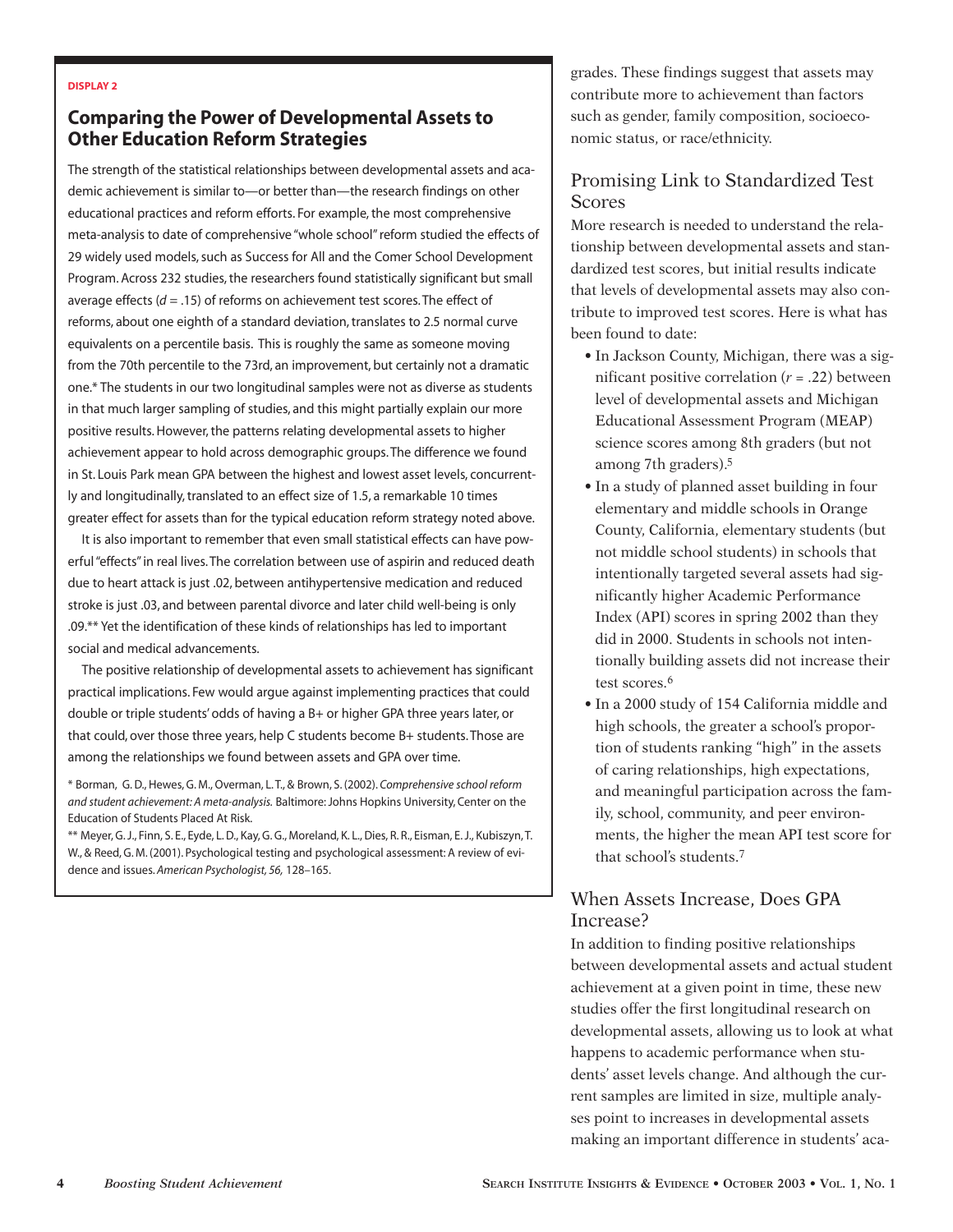#### **DISPLAY 2**

# **Comparing the Power of Developmental Assets to Other Education Reform Strategies**

The strength of the statistical relationships between developmental assets and academic achievement is similar to—or better than—the research findings on other educational practices and reform efforts. For example, the most comprehensive meta-analysis to date of comprehensive "whole school" reform studied the effects of 29 widely used models, such as Success for All and the Comer School Development Program. Across 232 studies, the researchers found statistically significant but small average effects (*d* = .15) of reforms on achievement test scores. The effect of reforms, about one eighth of a standard deviation, translates to 2.5 normal curve equivalents on a percentile basis. This is roughly the same as someone moving from the 70th percentile to the 73rd, an improvement, but certainly not a dramatic one.\* The students in our two longitudinal samples were not as diverse as students in that much larger sampling of studies, and this might partially explain our more positive results. However, the patterns relating developmental assets to higher achievement appear to hold across demographic groups. The difference we found in St. Louis Park mean GPA between the highest and lowest asset levels, concurrently and longitudinally, translated to an effect size of 1.5, a remarkable 10 times greater effect for assets than for the typical education reform strategy noted above.

It is also important to remember that even small statistical effects can have powerful "effects" in real lives. The correlation between use of aspirin and reduced death due to heart attack is just .02, between antihypertensive medication and reduced stroke is just .03, and between parental divorce and later child well-being is only .09.\*\* Yet the identification of these kinds of relationships has led to important social and medical advancements.

The positive relationship of developmental assets to achievement has significant practical implications. Few would argue against implementing practices that could double or triple students' odds of having a B+ or higher GPA three years later, or that could, over those three years, help C students become B+ students. Those are among the relationships we found between assets and GPA over time.

\* Borman, G. D., Hewes, G. M., Overman, L. T., & Brown, S. (2002). *Comprehensive school reform and student achievement: A meta-analysis.* Baltimore: Johns Hopkins University, Center on the Education of Students Placed At Risk.

\*\* Meyer, G. J., Finn, S. E., Eyde, L. D., Kay, G. G., Moreland, K. L., Dies, R. R., Eisman, E. J., Kubiszyn, T. W., & Reed, G. M. (2001). Psychological testing and psychological assessment: A review of evidence and issues. *American Psychologist, 56,* 128–165.

grades. These findings suggest that assets may contribute more to achievement than factors such as gender, family composition, socioeconomic status, or race/ethnicity.

# Promising Link to Standardized Test **Scores**

More research is needed to understand the relationship between developmental assets and standardized test scores, but initial results indicate that levels of developmental assets may also contribute to improved test scores. Here is what has been found to date:

- In Jackson County, Michigan, there was a significant positive correlation  $(r = .22)$  between level of developmental assets and Michigan Educational Assessment Program (MEAP) science scores among 8th graders (but not among 7th graders).5
- In a study of planned asset building in four elementary and middle schools in Orange County, California, elementary students (but not middle school students) in schools that intentionally targeted several assets had significantly higher Academic Performance Index (API) scores in spring 2002 than they did in 2000. Students in schools not intentionally building assets did not increase their test scores.<sup>6</sup>
- In a 2000 study of 154 California middle and high schools, the greater a school's proportion of students ranking "high" in the assets of caring relationships, high expectations, and meaningful participation across the family, school, community, and peer environments, the higher the mean API test score for that school's students.7

# When Assets Increase, Does GPA Increase?

In addition to finding positive relationships between developmental assets and actual student achievement at a given point in time, these new studies offer the first longitudinal research on developmental assets, allowing us to look at what happens to academic performance when students' asset levels change. And although the current samples are limited in size, multiple analyses point to increases in developmental assets making an important difference in students' aca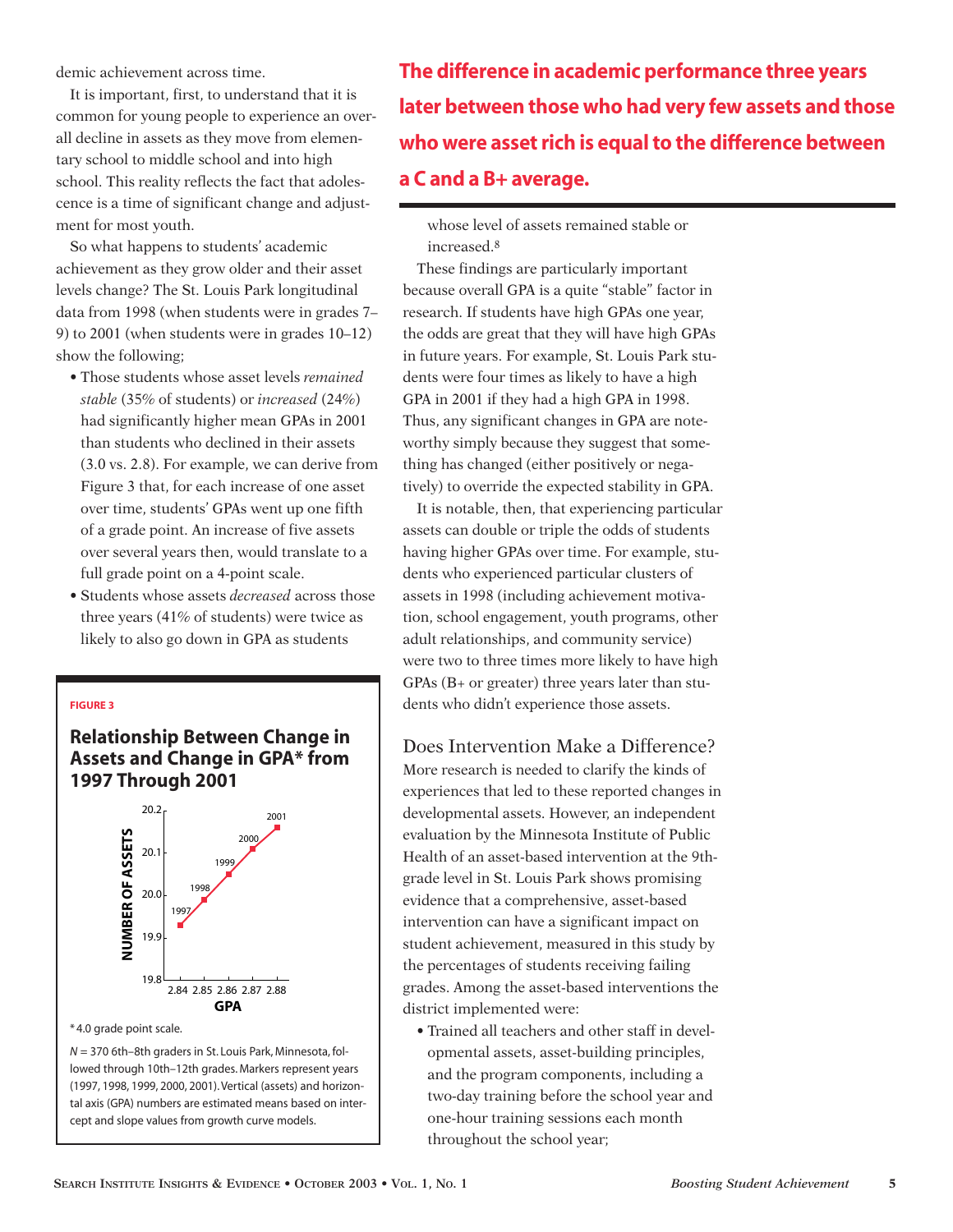demic achievement across time.

It is important, first, to understand that it is common for young people to experience an overall decline in assets as they move from elementary school to middle school and into high school. This reality reflects the fact that adolescence is a time of significant change and adjustment for most youth.

So what happens to students' academic achievement as they grow older and their asset levels change? The St. Louis Park longitudinal data from 1998 (when students were in grades 7– 9) to 2001 (when students were in grades 10–12) show the following;

- Those students whose asset levels *remained stable* (35% of students) or *increased* (24%) had significantly higher mean GPAs in 2001 than students who declined in their assets (3.0 vs. 2.8). For example, we can derive from Figure 3 that, for each increase of one asset over time, students' GPAs went up one fifth of a grade point. An increase of five assets over several years then, would translate to a full grade point on a 4-point scale.
- Students whose assets *decreased* across those three years (41% of students) were twice as likely to also go down in GPA as students

### **FIGURE 3**

**Relationship Between Change in Assets and Change in GPA\* from 1997 Through 2001**



\* 4.0 grade point scale.

*N* = 370 6th–8th graders in St. Louis Park, Minnesota, followed through 10th–12th grades. Markers represent years (1997, 1998, 1999, 2000, 2001). Vertical (assets) and horizontal axis (GPA) numbers are estimated means based on intercept and slope values from growth curve models.

**The difference in academic performance three years later between those who had very few assets and those who were asset rich is equal to the difference between a C and a B+ average.**

whose level of assets remained stable or increased.8

These findings are particularly important because overall GPA is a quite "stable" factor in research. If students have high GPAs one year, the odds are great that they will have high GPAs in future years. For example, St. Louis Park students were four times as likely to have a high GPA in 2001 if they had a high GPA in 1998. Thus, any significant changes in GPA are noteworthy simply because they suggest that something has changed (either positively or negatively) to override the expected stability in GPA.

It is notable, then, that experiencing particular assets can double or triple the odds of students having higher GPAs over time. For example, students who experienced particular clusters of assets in 1998 (including achievement motivation, school engagement, youth programs, other adult relationships, and community service) were two to three times more likely to have high GPAs (B+ or greater) three years later than students who didn't experience those assets.

# Does Intervention Make a Difference?

More research is needed to clarify the kinds of experiences that led to these reported changes in developmental assets. However, an independent evaluation by the Minnesota Institute of Public Health of an asset-based intervention at the 9thgrade level in St. Louis Park shows promising evidence that a comprehensive, asset-based intervention can have a significant impact on student achievement, measured in this study by the percentages of students receiving failing grades. Among the asset-based interventions the district implemented were:

• Trained all teachers and other staff in developmental assets, asset-building principles, and the program components, including a two-day training before the school year and one-hour training sessions each month throughout the school year;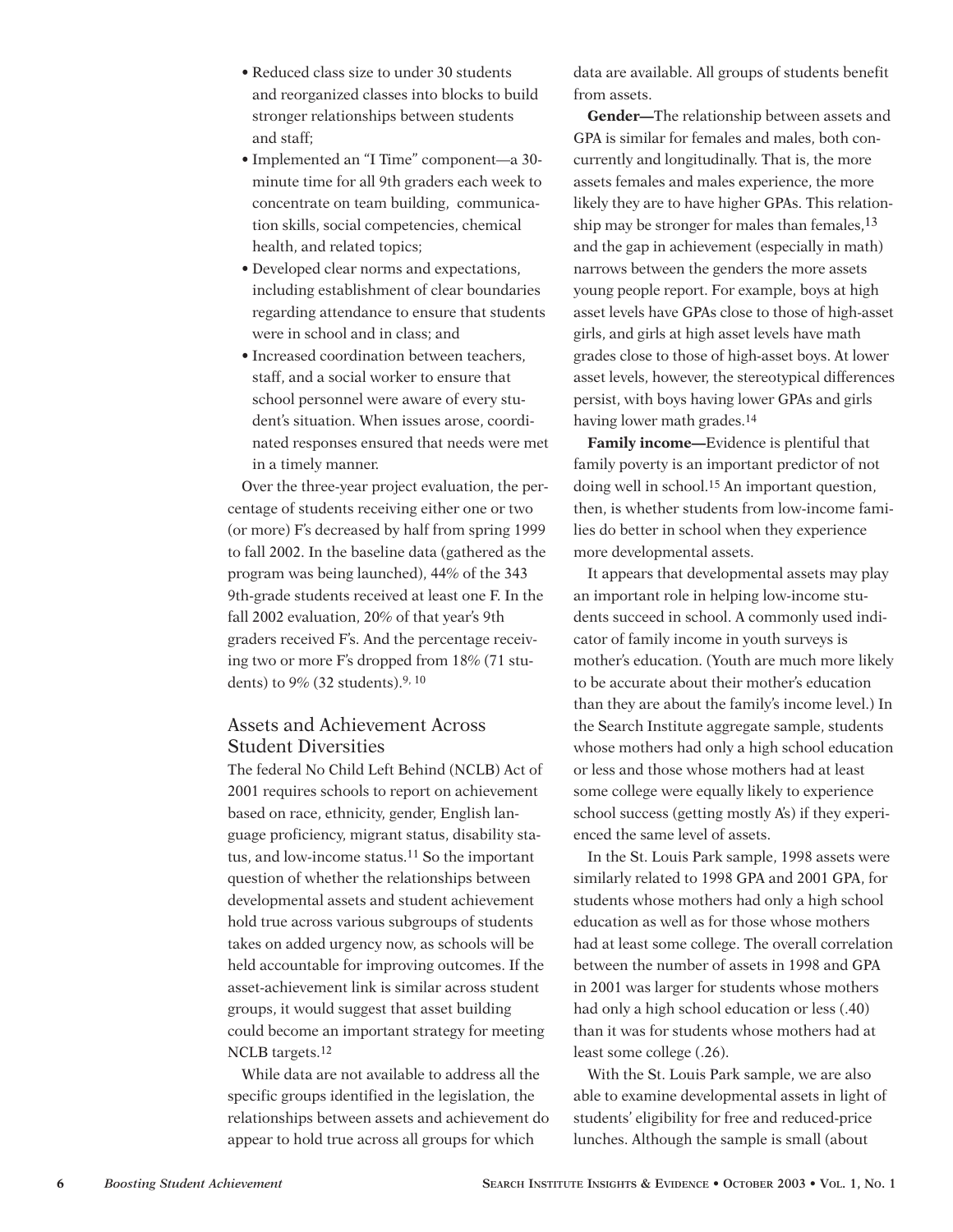- Reduced class size to under 30 students and reorganized classes into blocks to build stronger relationships between students and staff;
- Implemented an "I Time" component—a 30 minute time for all 9th graders each week to concentrate on team building, communication skills, social competencies, chemical health, and related topics;
- Developed clear norms and expectations, including establishment of clear boundaries regarding attendance to ensure that students were in school and in class; and
- Increased coordination between teachers, staff, and a social worker to ensure that school personnel were aware of every student's situation. When issues arose, coordinated responses ensured that needs were met in a timely manner.

Over the three-year project evaluation, the percentage of students receiving either one or two (or more) F's decreased by half from spring 1999 to fall 2002. In the baseline data (gathered as the program was being launched), 44% of the 343 9th-grade students received at least one F. In the fall 2002 evaluation, 20% of that year's 9th graders received F's. And the percentage receiving two or more F's dropped from 18% (71 students) to 9% (32 students).9, 10

# Assets and Achievement Across Student Diversities

The federal No Child Left Behind (NCLB) Act of 2001 requires schools to report on achievement based on race, ethnicity, gender, English language proficiency, migrant status, disability status, and low-income status.11 So the important question of whether the relationships between developmental assets and student achievement hold true across various subgroups of students takes on added urgency now, as schools will be held accountable for improving outcomes. If the asset-achievement link is similar across student groups, it would suggest that asset building could become an important strategy for meeting NCLB targets.12

While data are not available to address all the specific groups identified in the legislation, the relationships between assets and achievement do appear to hold true across all groups for which

data are available. All groups of students benefit from assets.

**Gender—**The relationship between assets and GPA is similar for females and males, both concurrently and longitudinally. That is, the more assets females and males experience, the more likely they are to have higher GPAs. This relationship may be stronger for males than females,<sup>13</sup> and the gap in achievement (especially in math) narrows between the genders the more assets young people report. For example, boys at high asset levels have GPAs close to those of high-asset girls, and girls at high asset levels have math grades close to those of high-asset boys. At lower asset levels, however, the stereotypical differences persist, with boys having lower GPAs and girls having lower math grades.14

**Family income—**Evidence is plentiful that family poverty is an important predictor of not doing well in school.15 An important question, then, is whether students from low-income families do better in school when they experience more developmental assets.

It appears that developmental assets may play an important role in helping low-income students succeed in school. A commonly used indicator of family income in youth surveys is mother's education. (Youth are much more likely to be accurate about their mother's education than they are about the family's income level.) In the Search Institute aggregate sample, students whose mothers had only a high school education or less and those whose mothers had at least some college were equally likely to experience school success (getting mostly A's) if they experienced the same level of assets.

In the St. Louis Park sample, 1998 assets were similarly related to 1998 GPA and 2001 GPA, for students whose mothers had only a high school education as well as for those whose mothers had at least some college. The overall correlation between the number of assets in 1998 and GPA in 2001 was larger for students whose mothers had only a high school education or less (.40) than it was for students whose mothers had at least some college (.26).

With the St. Louis Park sample, we are also able to examine developmental assets in light of students' eligibility for free and reduced-price lunches. Although the sample is small (about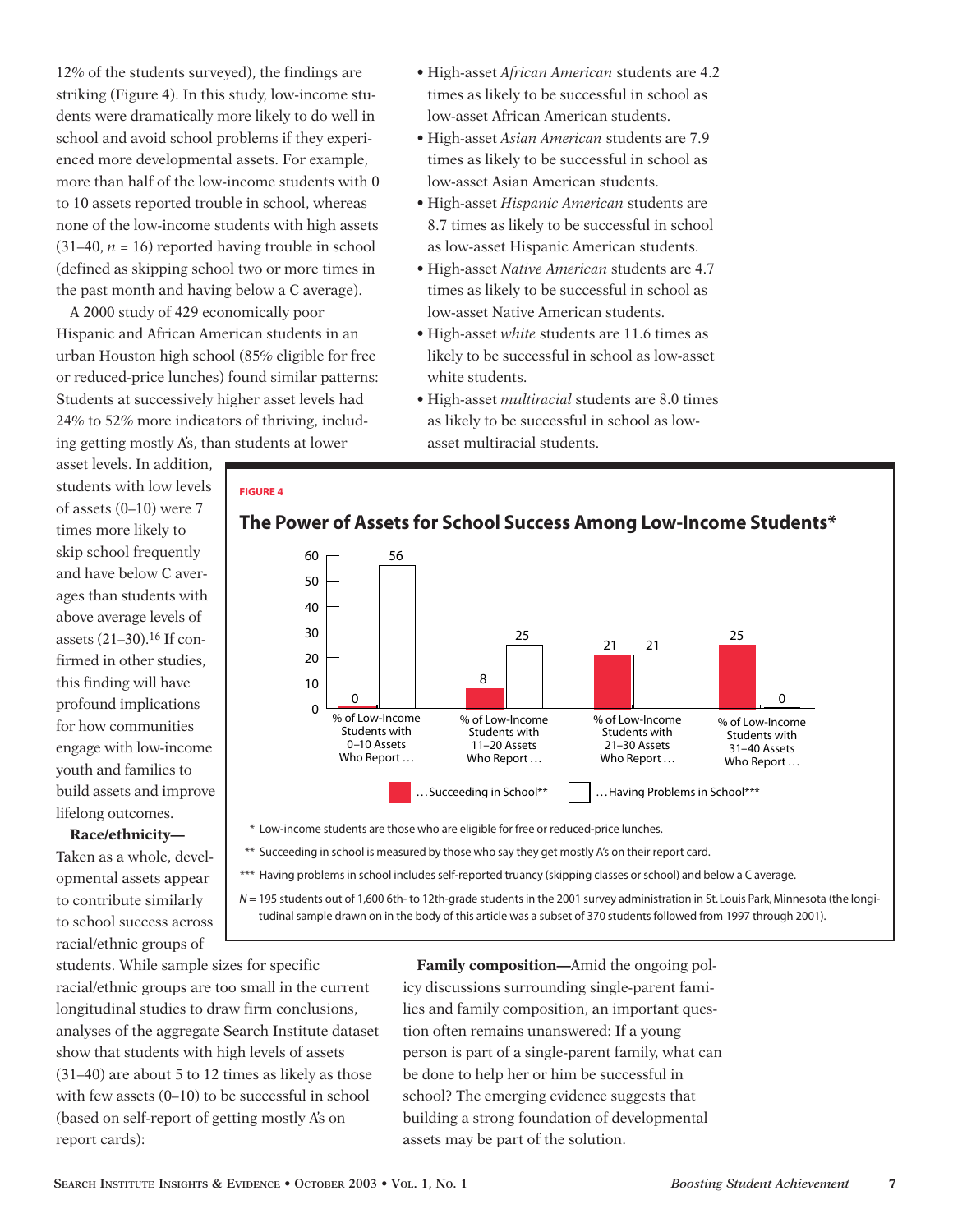12% of the students surveyed), the findings are striking (Figure 4). In this study, low-income students were dramatically more likely to do well in school and avoid school problems if they experienced more developmental assets. For example, more than half of the low-income students with 0 to 10 assets reported trouble in school, whereas none of the low-income students with high assets  $(31–40, n = 16)$  reported having trouble in school (defined as skipping school two or more times in the past month and having below a C average).

A 2000 study of 429 economically poor Hispanic and African American students in an urban Houston high school (85% eligible for free or reduced-price lunches) found similar patterns: Students at successively higher asset levels had 24% to 52% more indicators of thriving, including getting mostly A's, than students at lower

asset levels. In addition, students with low levels of assets (0–10) were 7 times more likely to skip school frequently and have below C averages than students with above average levels of assets (21–30).16 If confirmed in other studies, this finding will have profound implications for how communities engage with low-income youth and families to build assets and improve lifelong outcomes.

### **Race/ethnicity—**

Taken as a whole, developmental assets appear to contribute similarly to school success across racial/ethnic groups of

- High-asset *African American* students are 4.2 times as likely to be successful in school as low-asset African American students.
- High-asset *Asian American* students are 7.9 times as likely to be successful in school as low-asset Asian American students.
- High-asset *Hispanic American* students are 8.7 times as likely to be successful in school as low-asset Hispanic American students.
- High-asset *Native American* students are 4.7 times as likely to be successful in school as low-asset Native American students.
- High-asset *white* students are 11.6 times as likely to be successful in school as low-asset white students.
- High-asset *multiracial* students are 8.0 times as likely to be successful in school as lowasset multiracial students.

## **FIGURE 4**



**The Power of Assets for School Success Among Low-Income Students\***

\* Low-income students are those who are eligible for free or reduced-price lunches.

- \*\* Succeeding in school is measured by those who say they get mostly A's on their report card.
- \*\*\* Having problems in school includes self-reported truancy (skipping classes or school) and below a C average.

*N* = 195 students out of 1,600 6th- to 12th-grade students in the 2001 survey administration in St. Louis Park, Minnesota (the longitudinal sample drawn on in the body of this article was a subset of 370 students followed from 1997 through 2001).

students. While sample sizes for specific racial/ethnic groups are too small in the current longitudinal studies to draw firm conclusions, analyses of the aggregate Search Institute dataset show that students with high levels of assets (31–40) are about 5 to 12 times as likely as those with few assets (0–10) to be successful in school (based on self-report of getting mostly A's on report cards):

**Family composition—**Amid the ongoing policy discussions surrounding single-parent families and family composition, an important question often remains unanswered: If a young person is part of a single-parent family, what can be done to help her or him be successful in school? The emerging evidence suggests that building a strong foundation of developmental assets may be part of the solution.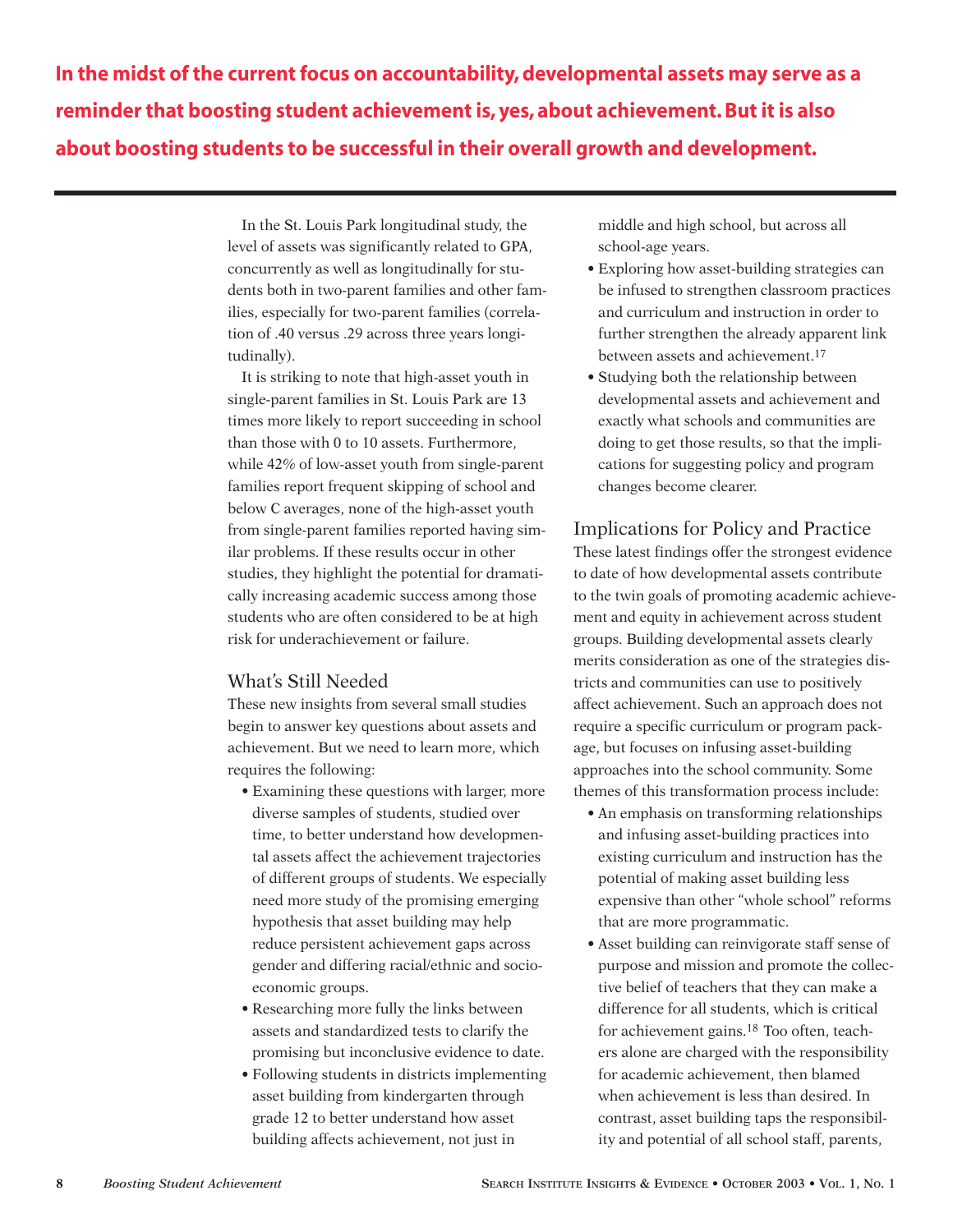**In the midst of the current focus on accountability, developmental assets may serve as a reminder that boosting student achievement is, yes, about achievement. But it is also about boosting students to be successful in their overall growth and development.**

> In the St. Louis Park longitudinal study, the level of assets was significantly related to GPA, concurrently as well as longitudinally for students both in two-parent families and other families, especially for two-parent families (correlation of .40 versus .29 across three years longitudinally).

> It is striking to note that high-asset youth in single-parent families in St. Louis Park are 13 times more likely to report succeeding in school than those with 0 to 10 assets. Furthermore, while 42% of low-asset youth from single-parent families report frequent skipping of school and below C averages, none of the high-asset youth from single-parent families reported having similar problems. If these results occur in other studies, they highlight the potential for dramatically increasing academic success among those students who are often considered to be at high risk for underachievement or failure.

# What's Still Needed

These new insights from several small studies begin to answer key questions about assets and achievement. But we need to learn more, which requires the following:

- Examining these questions with larger, more diverse samples of students, studied over time, to better understand how developmental assets affect the achievement trajectories of different groups of students. We especially need more study of the promising emerging hypothesis that asset building may help reduce persistent achievement gaps across gender and differing racial/ethnic and socioeconomic groups.
- Researching more fully the links between assets and standardized tests to clarify the promising but inconclusive evidence to date.
- Following students in districts implementing asset building from kindergarten through grade 12 to better understand how asset building affects achievement, not just in

middle and high school, but across all school-age years.

- Exploring how asset-building strategies can be infused to strengthen classroom practices and curriculum and instruction in order to further strengthen the already apparent link between assets and achievement.17
- Studying both the relationship between developmental assets and achievement and exactly what schools and communities are doing to get those results, so that the implications for suggesting policy and program changes become clearer.

# Implications for Policy and Practice

These latest findings offer the strongest evidence to date of how developmental assets contribute to the twin goals of promoting academic achievement and equity in achievement across student groups. Building developmental assets clearly merits consideration as one of the strategies districts and communities can use to positively affect achievement. Such an approach does not require a specific curriculum or program package, but focuses on infusing asset-building approaches into the school community. Some themes of this transformation process include:

- An emphasis on transforming relationships and infusing asset-building practices into existing curriculum and instruction has the potential of making asset building less expensive than other "whole school" reforms that are more programmatic.
- Asset building can reinvigorate staff sense of purpose and mission and promote the collective belief of teachers that they can make a difference for all students, which is critical for achievement gains.18 Too often, teachers alone are charged with the responsibility for academic achievement, then blamed when achievement is less than desired. In contrast, asset building taps the responsibility and potential of all school staff, parents,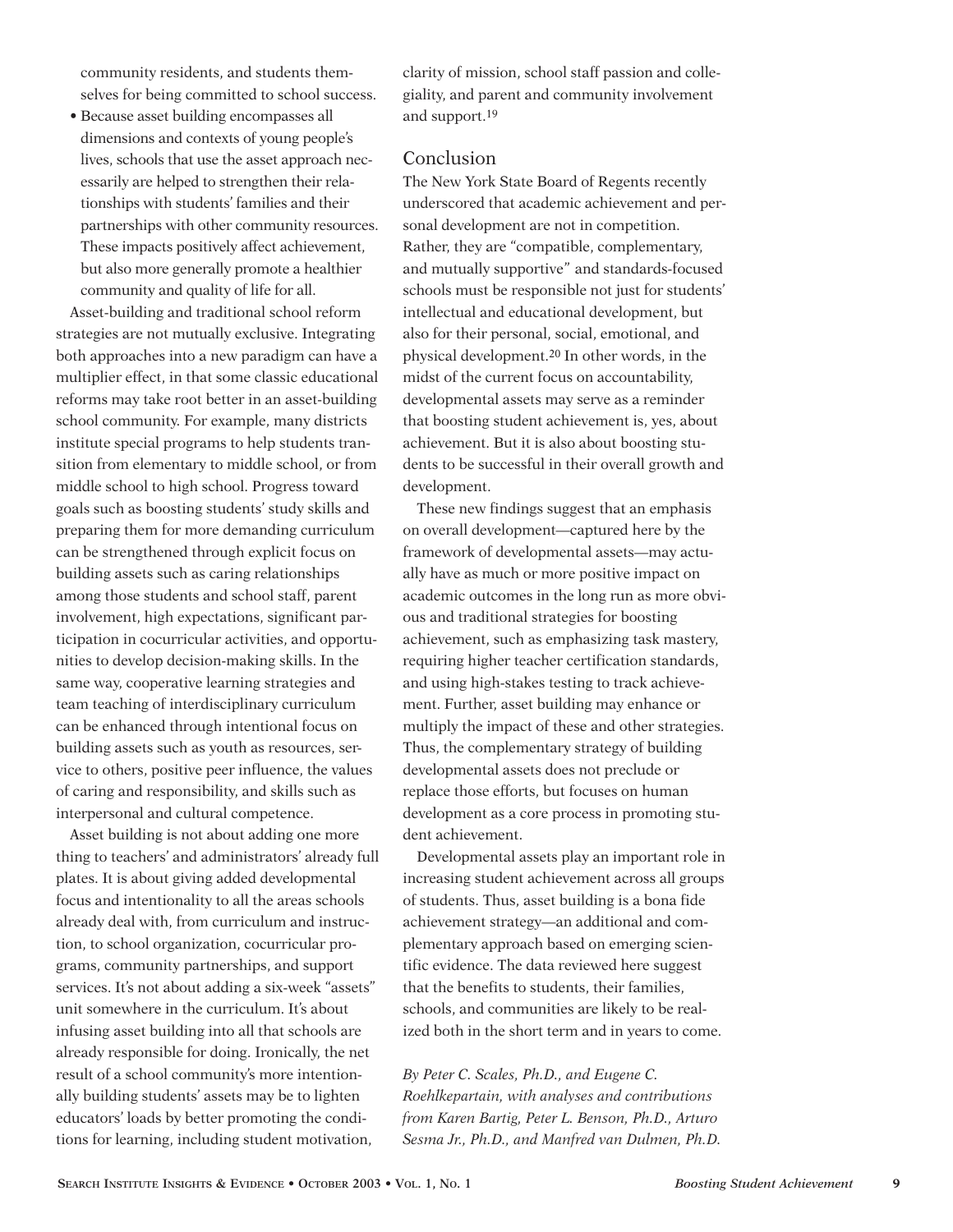community residents, and students themselves for being committed to school success.

• Because asset building encompasses all dimensions and contexts of young people's lives, schools that use the asset approach necessarily are helped to strengthen their relationships with students' families and their partnerships with other community resources. These impacts positively affect achievement, but also more generally promote a healthier community and quality of life for all.

Asset-building and traditional school reform strategies are not mutually exclusive. Integrating both approaches into a new paradigm can have a multiplier effect, in that some classic educational reforms may take root better in an asset-building school community. For example, many districts institute special programs to help students transition from elementary to middle school, or from middle school to high school. Progress toward goals such as boosting students' study skills and preparing them for more demanding curriculum can be strengthened through explicit focus on building assets such as caring relationships among those students and school staff, parent involvement, high expectations, significant participation in cocurricular activities, and opportunities to develop decision-making skills. In the same way, cooperative learning strategies and team teaching of interdisciplinary curriculum can be enhanced through intentional focus on building assets such as youth as resources, service to others, positive peer influence, the values of caring and responsibility, and skills such as interpersonal and cultural competence.

Asset building is not about adding one more thing to teachers' and administrators' already full plates. It is about giving added developmental focus and intentionality to all the areas schools already deal with, from curriculum and instruction, to school organization, cocurricular programs, community partnerships, and support services. It's not about adding a six-week "assets" unit somewhere in the curriculum. It's about infusing asset building into all that schools are already responsible for doing. Ironically, the net result of a school community's more intentionally building students' assets may be to lighten educators' loads by better promoting the conditions for learning, including student motivation,

clarity of mission, school staff passion and collegiality, and parent and community involvement and support.19

# Conclusion

The New York State Board of Regents recently underscored that academic achievement and personal development are not in competition. Rather, they are "compatible, complementary, and mutually supportive" and standards-focused schools must be responsible not just for students' intellectual and educational development, but also for their personal, social, emotional, and physical development.20 In other words, in the midst of the current focus on accountability, developmental assets may serve as a reminder that boosting student achievement is, yes, about achievement. But it is also about boosting students to be successful in their overall growth and development.

These new findings suggest that an emphasis on overall development—captured here by the framework of developmental assets—may actually have as much or more positive impact on academic outcomes in the long run as more obvious and traditional strategies for boosting achievement, such as emphasizing task mastery, requiring higher teacher certification standards, and using high-stakes testing to track achievement. Further, asset building may enhance or multiply the impact of these and other strategies. Thus, the complementary strategy of building developmental assets does not preclude or replace those efforts, but focuses on human development as a core process in promoting student achievement.

Developmental assets play an important role in increasing student achievement across all groups of students. Thus, asset building is a bona fide achievement strategy—an additional and complementary approach based on emerging scientific evidence. The data reviewed here suggest that the benefits to students, their families, schools, and communities are likely to be realized both in the short term and in years to come.

*By Peter C. Scales, Ph.D., and Eugene C. Roehlkepartain, with analyses and contributions from Karen Bartig, Peter L. Benson, Ph.D., Arturo Sesma Jr., Ph.D., and Manfred van Dulmen, Ph.D.*